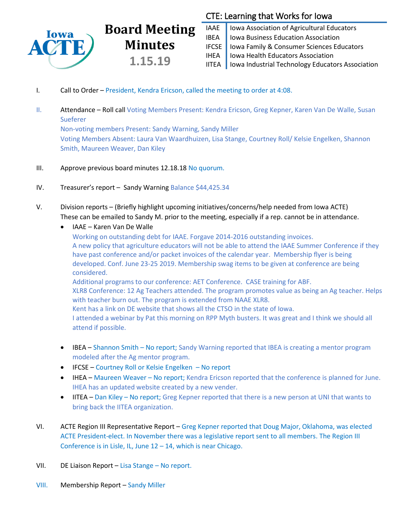

# CTE: Learning that Works for Iowa

IAAE | Iowa Association of Agricultural Educators **IBEA** | Iowa Business Education Association IFCSE Iowa Family & Consumer Sciences Educators IHEA | Iowa Health Educators Association IITEA | Iowa Industrial Technology Educators Association

I. Call to Order – President, Kendra Ericson, called the meeting to order at 4:08.

**Board Meeting**

**Minutes**

**1.15.19**

- II. Attendance Roll call Voting Members Present: Kendra Ericson, Greg Kepner, Karen Van De Walle, Susan **Sueferer** Non-voting members Present: Sandy Warning, Sandy Miller Voting Members Absent: Laura Van Waardhuizen, Lisa Stange, Courtney Roll/ Kelsie Engelken, Shannon Smith, Maureen Weaver, Dan Kiley
- III. Approve previous board minutes 12.18.18 No quorum.
- IV. Treasurer's report Sandy Warning Balance \$44,425.34
- V. Division reports (Briefly highlight upcoming initiatives/concerns/help needed from Iowa ACTE) These can be emailed to Sandy M. prior to the meeting, especially if a rep. cannot be in attendance.
	- IAAE Karen Van De Walle

Working on outstanding debt for IAAE. Forgave 2014-2016 outstanding invoices. A new policy that agriculture educators will not be able to attend the IAAE Summer Conference if they have past conference and/or packet invoices of the calendar year. Membership flyer is being developed. Conf. June 23-25 2019. Membership swag items to be given at conference are being considered. Additional programs to our conference: AET Conference. CASE training for ABF.

XLR8 Conference: 12 Ag Teachers attended. The program promotes value as being an Ag teacher. Helps with teacher burn out. The program is extended from NAAE XLR8.

Kent has a link on DE website that shows all the CTSO in the state of Iowa.

I attended a webinar by Pat this morning on RPP Myth busters. It was great and I think we should all attend if possible.

- IBEA Shannon Smith No report; Sandy Warning reported that IBEA is creating a mentor program modeled after the Ag mentor program.
- IFCSE Courtney Roll or Kelsie Engelken No report
- IHEA Maureen Weaver No report; Kendra Ericson reported that the conference is planned for June. IHEA has an updated website created by a new vender.
- IITEA Dan Kiley No report; Greg Kepner reported that there is a new person at UNI that wants to bring back the IITEA organization.
- VI. ACTE Region III Representative Report Greg Kepner reported that Doug Major, Oklahoma, was elected ACTE President-elect. In November there was a legislative report sent to all members. The Region III Conference is in Lisle, IL, June  $12 - 14$ , which is near Chicago.
- VII. DE Liaison Report Lisa Stange No report.
- VIII. Membership Report Sandy Miller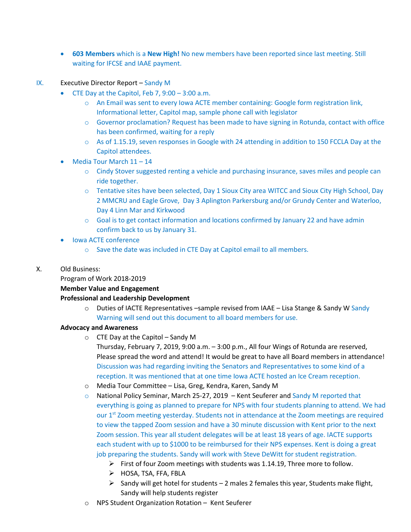- **603 Members** which is a **New High!** No new members have been reported since last meeting. Still waiting for IFCSE and IAAE payment.
- IX. Executive Director Report Sandy M
	- $\bullet$  CTE Day at the Capitol, Feb 7, 9:00 3:00 a.m.
		- o An Email was sent to every Iowa ACTE member containing: Google form registration link, Informational letter, Capitol map, sample phone call with legislator
		- $\circ$  Governor proclamation? Request has been made to have signing in Rotunda, contact with office has been confirmed, waiting for a reply
		- $\circ$  As of 1.15.19, seven responses in Google with 24 attending in addition to 150 FCCLA Day at the Capitol attendees.
	- Media Tour March 11 14
		- $\circ$  Cindy Stover suggested renting a vehicle and purchasing insurance, saves miles and people can ride together.
		- o Tentative sites have been selected, Day 1 Sioux City area WITCC and Sioux City High School, Day 2 MMCRU and Eagle Grove, Day 3 Aplington Parkersburg and/or Grundy Center and Waterloo, Day 4 Linn Mar and Kirkwood
		- o Goal is to get contact information and locations confirmed by January 22 and have admin confirm back to us by January 31.
	- Iowa ACTE conference
		- o Save the date was included in CTE Day at Capitol email to all members.
- X. Old Business:

#### Program of Work 2018-2019

### **Member Value and Engagement**

### **Professional and Leadership Development**

 $\circ$  Duties of IACTE Representatives –sample revised from IAAE – Lisa Stange & Sandy W Sandy Warning will send out this document to all board members for use.

### **Advocacy and Awareness**

 $\circ$  CTE Day at the Capitol – Sandy M

Thursday, February 7, 2019, 9:00 a.m. – 3:00 p.m., All four Wings of Rotunda are reserved, Please spread the word and attend! It would be great to have all Board members in attendance! Discussion was had regarding inviting the Senators and Representatives to some kind of a reception. It was mentioned that at one time Iowa ACTE hosted an Ice Cream reception.

- o Media Tour Committee Lisa, Greg, Kendra, Karen, Sandy M
- $\circ$  National Policy Seminar, March 25-27, 2019 Kent Seuferer and Sandy M reported that everything is going as planned to prepare for NPS with four students planning to attend. We had our 1<sup>st</sup> Zoom meeting yesterday. Students not in attendance at the Zoom meetings are required to view the tapped Zoom session and have a 30 minute discussion with Kent prior to the next Zoom session. This year all student delegates will be at least 18 years of age. IACTE supports each student with up to \$1000 to be reimbursed for their NPS expenses. Kent is doing a great job preparing the students. Sandy will work with Steve DeWitt for student registration.
	- $\triangleright$  First of four Zoom meetings with students was 1.14.19, Three more to follow.
	- > HOSA, TSA, FFA, FBLA
	- $\triangleright$  Sandy will get hotel for students 2 males 2 females this year, Students make flight, Sandy will help students register
- o NPS Student Organization Rotation Kent Seuferer